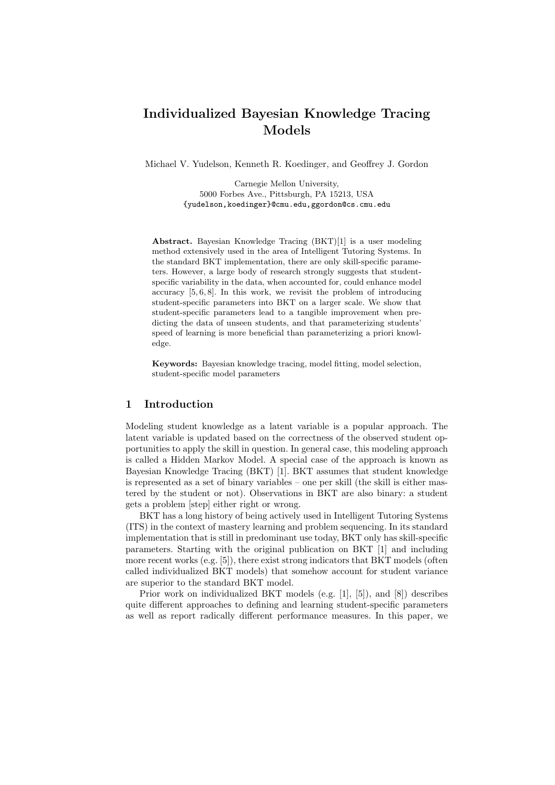# Individualized Bayesian Knowledge Tracing Models

Michael V. Yudelson, Kenneth R. Koedinger, and Geoffrey J. Gordon

Carnegie Mellon University, 5000 Forbes Ave., Pittsburgh, PA 15213, USA {yudelson,koedinger}@cmu.edu,ggordon@cs.cmu.edu

Abstract. Bayesian Knowledge Tracing (BKT)[1] is a user modeling method extensively used in the area of Intelligent Tutoring Systems. In the standard BKT implementation, there are only skill-specific parameters. However, a large body of research strongly suggests that studentspecific variability in the data, when accounted for, could enhance model accuracy [5, 6, 8]. In this work, we revisit the problem of introducing student-specific parameters into BKT on a larger scale. We show that student-specific parameters lead to a tangible improvement when predicting the data of unseen students, and that parameterizing students' speed of learning is more beneficial than parameterizing a priori knowledge.

Keywords: Bayesian knowledge tracing, model fitting, model selection, student-specific model parameters

# 1 Introduction

Modeling student knowledge as a latent variable is a popular approach. The latent variable is updated based on the correctness of the observed student opportunities to apply the skill in question. In general case, this modeling approach is called a Hidden Markov Model. A special case of the approach is known as Bayesian Knowledge Tracing (BKT) [1]. BKT assumes that student knowledge is represented as a set of binary variables – one per skill (the skill is either mastered by the student or not). Observations in BKT are also binary: a student gets a problem [step] either right or wrong.

BKT has a long history of being actively used in Intelligent Tutoring Systems (ITS) in the context of mastery learning and problem sequencing. In its standard implementation that is still in predominant use today, BKT only has skill-specific parameters. Starting with the original publication on BKT [1] and including more recent works (e.g. [5]), there exist strong indicators that BKT models (often called individualized BKT models) that somehow account for student variance are superior to the standard BKT model.

Prior work on individualized BKT models (e.g. [1], [5]), and [8]) describes quite different approaches to defining and learning student-specific parameters as well as report radically different performance measures. In this paper, we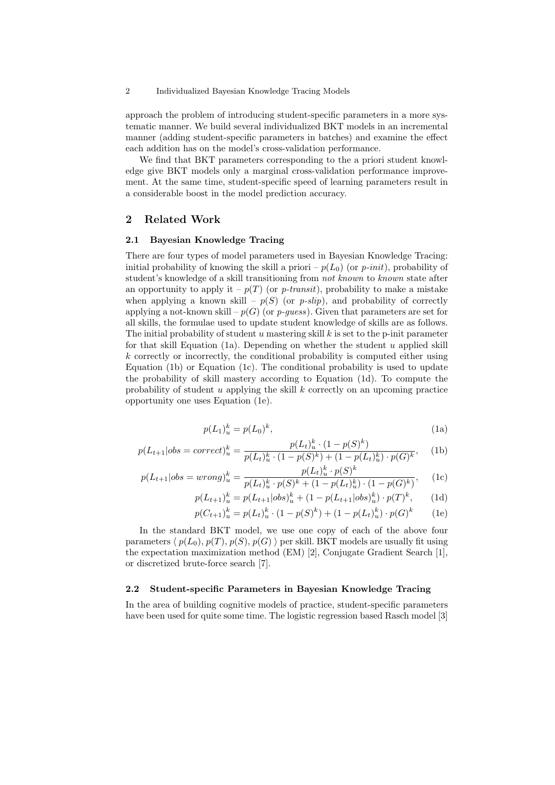#### 2 Individualized Bayesian Knowledge Tracing Models

approach the problem of introducing student-specific parameters in a more systematic manner. We build several individualized BKT models in an incremental manner (adding student-specific parameters in batches) and examine the effect each addition has on the model's cross-validation performance.

We find that BKT parameters corresponding to the a priori student knowledge give BKT models only a marginal cross-validation performance improvement. At the same time, student-specific speed of learning parameters result in a considerable boost in the model prediction accuracy.

# 2 Related Work

### 2.1 Bayesian Knowledge Tracing

There are four types of model parameters used in Bayesian Knowledge Tracing: initial probability of knowing the skill a priori –  $p(L_0)$  (or p-init), probability of student's knowledge of a skill transitioning from not known to known state after an opportunity to apply it –  $p(T)$  (or p-transit), probability to make a mistake when applying a known skill –  $p(S)$  (or p-slip), and probability of correctly applying a not-known skill –  $p(G)$  (or p-guess). Given that parameters are set for all skills, the formulae used to update student knowledge of skills are as follows. The initial probability of student u mastering skill  $k$  is set to the p-init parameter for that skill Equation (1a). Depending on whether the student  $u$  applied skill k correctly or incorrectly, the conditional probability is computed either using Equation (1b) or Equation (1c). The conditional probability is used to update the probability of skill mastery according to Equation (1d). To compute the probability of student u applying the skill  $k$  correctly on an upcoming practice opportunity one uses Equation (1e).

$$
p(L_1)_u^k = p(L_0)^k,
$$
\n(1a)

$$
p(L_{t+1}|obs = correct)^{k}_{u} = \frac{p(L_{t})^{k}_{u} \cdot (1 - p(S)^{k})}{p(L_{t})^{k}_{u} \cdot (1 - p(S)^{k}) + (1 - p(L_{t})^{k}_{u}) \cdot p(G)^{k}}, \quad (1b)
$$

$$
p(L_{t+1}|obs = wrong)^{k}_{u} = \frac{p(L_{t})^{k}_{u} \cdot p(S)^{k}}{p(L_{t})^{k}_{u} \cdot p(S)^{k} + (1 - p(L_{t})^{k}_{u}) \cdot (1 - p(G)^{k})}, \quad (1c)
$$

$$
p(L_{t+1})_u^k = p(L_{t+1} | obs)_u^k + (1 - p(L_{t+1} | obs)_u^k) \cdot p(T)^k, \quad (1d)
$$

$$
p(C_{t+1})_u^k = p(L_t)_u^k \cdot (1 - p(S)^k) + (1 - p(L_t)_u^k) \cdot p(G)^k \qquad (1e)
$$

In the standard BKT model, we use one copy of each of the above four parameters  $\langle p(L_0), p(T), p(S), p(G) \rangle$  per skill. BKT models are usually fit using the expectation maximization method (EM) [2], Conjugate Gradient Search [1], or discretized brute-force search [7].

### 2.2 Student-specific Parameters in Bayesian Knowledge Tracing

In the area of building cognitive models of practice, student-specific parameters have been used for quite some time. The logistic regression based Rasch model [3]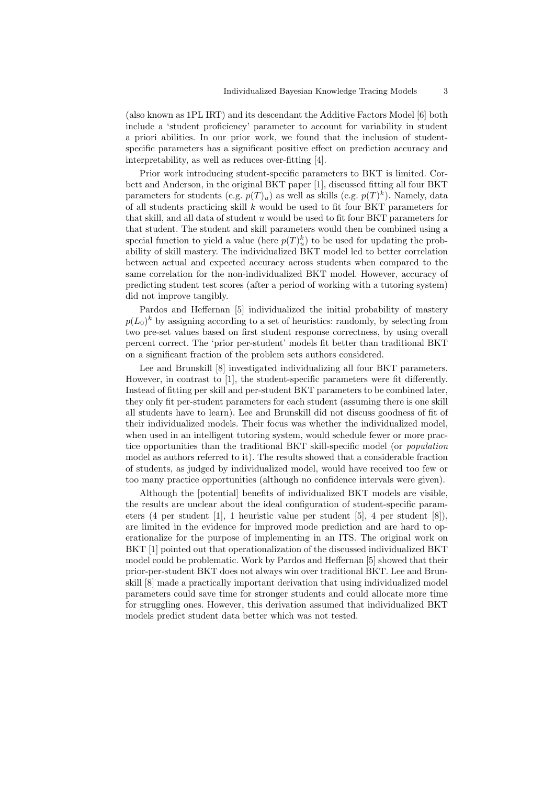(also known as 1PL IRT) and its descendant the Additive Factors Model [6] both include a 'student proficiency' parameter to account for variability in student a priori abilities. In our prior work, we found that the inclusion of studentspecific parameters has a significant positive effect on prediction accuracy and interpretability, as well as reduces over-fitting [4].

Prior work introducing student-specific parameters to BKT is limited. Corbett and Anderson, in the original BKT paper [1], discussed fitting all four BKT parameters for students (e.g.  $p(T)_u$ ) as well as skills (e.g.  $p(T)^k$ ). Namely, data of all students practicing skill  $k$  would be used to fit four BKT parameters for that skill, and all data of student  $u$  would be used to fit four BKT parameters for that student. The student and skill parameters would then be combined using a special function to yield a value (here  $p(T)^k_u$ ) to be used for updating the probability of skill mastery. The individualized BKT model led to better correlation between actual and expected accuracy across students when compared to the same correlation for the non-individualized BKT model. However, accuracy of predicting student test scores (after a period of working with a tutoring system) did not improve tangibly.

Pardos and Heffernan [5] individualized the initial probability of mastery  $p(L_0)^k$  by assigning according to a set of heuristics: randomly, by selecting from two pre-set values based on first student response correctness, by using overall percent correct. The 'prior per-student' models fit better than traditional BKT on a significant fraction of the problem sets authors considered.

Lee and Brunskill [8] investigated individualizing all four BKT parameters. However, in contrast to [1], the student-specific parameters were fit differently. Instead of fitting per skill and per-student BKT parameters to be combined later, they only fit per-student parameters for each student (assuming there is one skill all students have to learn). Lee and Brunskill did not discuss goodness of fit of their individualized models. Their focus was whether the individualized model, when used in an intelligent tutoring system, would schedule fewer or more practice opportunities than the traditional BKT skill-specific model (or population model as authors referred to it). The results showed that a considerable fraction of students, as judged by individualized model, would have received too few or too many practice opportunities (although no confidence intervals were given).

Although the [potential] benefits of individualized BKT models are visible, the results are unclear about the ideal configuration of student-specific parameters (4 per student [1], 1 heuristic value per student [5], 4 per student [8]), are limited in the evidence for improved mode prediction and are hard to operationalize for the purpose of implementing in an ITS. The original work on BKT [1] pointed out that operationalization of the discussed individualized BKT model could be problematic. Work by Pardos and Heffernan [5] showed that their prior-per-student BKT does not always win over traditional BKT. Lee and Brunskill [8] made a practically important derivation that using individualized model parameters could save time for stronger students and could allocate more time for struggling ones. However, this derivation assumed that individualized BKT models predict student data better which was not tested.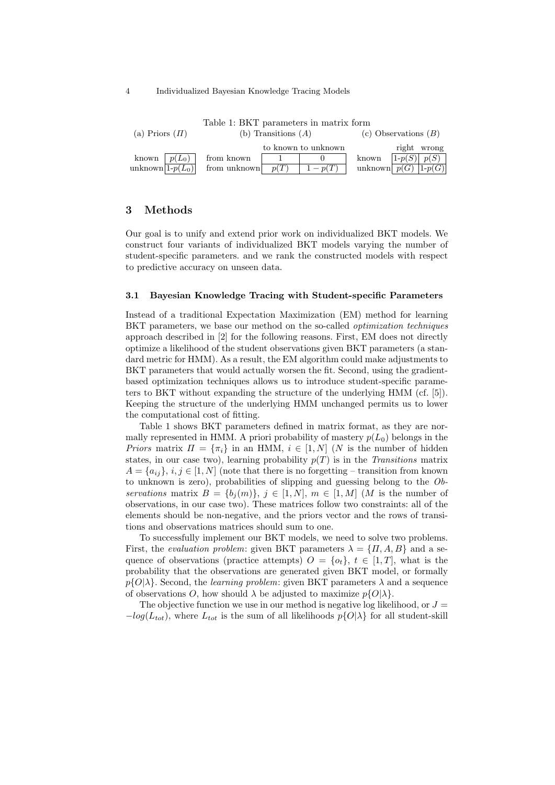4 Individualized Bayesian Knowledge Tracing Models

| Itusit It Diti Mutuuring an antuvitat tuttu |                       |      |                        |       |                            |  |  |  |  |
|---------------------------------------------|-----------------------|------|------------------------|-------|----------------------------|--|--|--|--|
| (a) Priors $(\Pi)$                          | (b) Transitions $(A)$ |      | (c) Observations $(B)$ |       |                            |  |  |  |  |
|                                             |                       |      | to known to unknown    |       | right wrong                |  |  |  |  |
| known $ p(L_0) $                            | from known            |      |                        | known | $1-p(S)$ $p(S)$            |  |  |  |  |
| unknown $ 1-p(L_0) $                        | from unknown          | p(T) | $1-p(T)$               |       | unknown $p(G)$   1- $p(G)$ |  |  |  |  |

Table 1: BKT parameters in matrix form

# 3 Methods

Our goal is to unify and extend prior work on individualized BKT models. We construct four variants of individualized BKT models varying the number of student-specific parameters. and we rank the constructed models with respect to predictive accuracy on unseen data.

#### 3.1 Bayesian Knowledge Tracing with Student-specific Parameters

Instead of a traditional Expectation Maximization (EM) method for learning BKT parameters, we base our method on the so-called *optimization techniques* approach described in [2] for the following reasons. First, EM does not directly optimize a likelihood of the student observations given BKT parameters (a standard metric for HMM). As a result, the EM algorithm could make adjustments to BKT parameters that would actually worsen the fit. Second, using the gradientbased optimization techniques allows us to introduce student-specific parameters to BKT without expanding the structure of the underlying HMM (cf. [5]). Keeping the structure of the underlying HMM unchanged permits us to lower the computational cost of fitting.

Table 1 shows BKT parameters defined in matrix format, as they are normally represented in HMM. A priori probability of mastery  $p(L_0)$  belongs in the *Priors* matrix  $\Pi = {\pi_i}$  in an HMM,  $i \in [1, N]$  (N is the number of hidden states, in our case two), learning probability  $p(T)$  is in the Transitions matrix  $A = \{a_{ij}\}, i, j \in [1, N]$  (note that there is no forgetting – transition from known to unknown is zero), probabilities of slipping and guessing belong to the Observations matrix  $B = \{b_j(m)\}, j \in [1, N], m \in [1, M]$  (M is the number of observations, in our case two). These matrices follow two constraints: all of the elements should be non-negative, and the priors vector and the rows of transitions and observations matrices should sum to one.

To successfully implement our BKT models, we need to solve two problems. First, the *evaluation problem*: given BKT parameters  $\lambda = \{II, A, B\}$  and a sequence of observations (practice attempts)  $O = \{o_t\}, t \in [1, T]$ , what is the probability that the observations are generated given BKT model, or formally  $p\{O|\lambda\}$ . Second, the *learning problem*: given BKT parameters  $\lambda$  and a sequence of observations O, how should  $\lambda$  be adjusted to maximize  $p\{O|\lambda\}$ .

The objective function we use in our method is negative log likelihood, or  $J =$  $-log(L_{tot})$ , where  $L_{tot}$  is the sum of all likelihoods  $p\{O|\lambda\}$  for all student-skill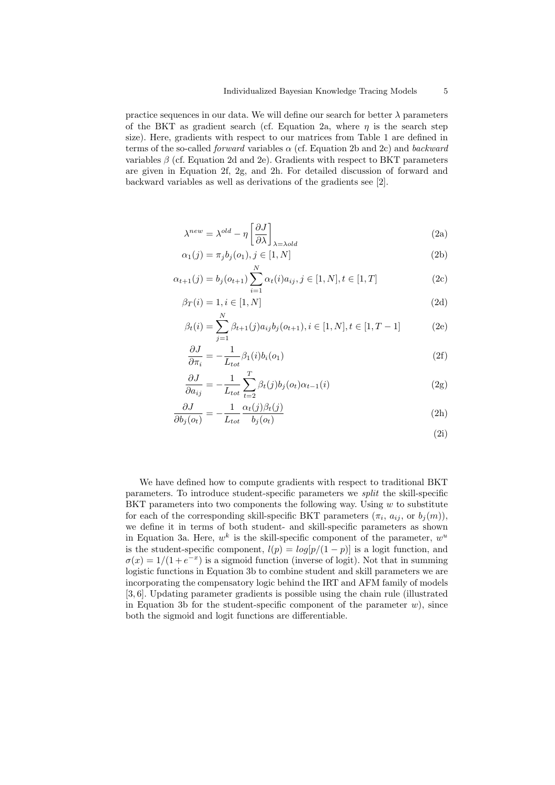practice sequences in our data. We will define our search for better  $\lambda$  parameters of the BKT as gradient search (cf. Equation 2a, where  $\eta$  is the search step size). Here, gradients with respect to our matrices from Table 1 are defined in terms of the so-called *forward* variables  $\alpha$  (cf. Equation 2b and 2c) and *backward* variables  $\beta$  (cf. Equation 2d and 2e). Gradients with respect to BKT parameters are given in Equation 2f, 2g, and 2h. For detailed discussion of forward and backward variables as well as derivations of the gradients see [2].

$$
\lambda^{new} = \lambda^{old} - \eta \left[ \frac{\partial J}{\partial \lambda} \right]_{\lambda = \lambda o l d} \tag{2a}
$$

$$
\alpha_1(j) = \pi_j b_j(o_1), j \in [1, N]
$$
\n
$$
N
$$
\n(2b)

$$
\alpha_{t+1}(j) = b_j(o_{t+1}) \sum_{i=1} \alpha_t(i) a_{ij}, j \in [1, N], t \in [1, T]
$$
\n(2c)

$$
\beta_T(i) = 1, i \in [1, N] \tag{2d}
$$

$$
\beta_t(i) = \sum_{j=1}^N \beta_{t+1}(j) a_{ij} b_j(o_{t+1}), i \in [1, N], t \in [1, T-1]
$$
 (2e)

$$
\frac{\partial J}{\partial \pi_i} = -\frac{1}{L_{tot}} \beta_1(i) b_i(o_1)
$$
\n(2f)

$$
\frac{\partial J}{\partial a_{ij}} = -\frac{1}{L_{tot}} \sum_{t=2}^{T} \beta_t(j) b_j(o_t) \alpha_{t-1}(i)
$$
\n(2g)

$$
\frac{\partial J}{\partial b_j(o_t)} = -\frac{1}{L_{tot}} \frac{\alpha_t(j)\beta_t(j)}{b_j(o_t)}\tag{2h}
$$

(2i)

We have defined how to compute gradients with respect to traditional BKT parameters. To introduce student-specific parameters we split the skill-specific BKT parameters into two components the following way. Using  $w$  to substitute for each of the corresponding skill-specific BKT parameters  $(\pi_i, a_{ij}, \text{or } b_j(m))$ , we define it in terms of both student- and skill-specific parameters as shown in Equation 3a. Here,  $w^k$  is the skill-specific component of the parameter,  $w^u$ is the student-specific component,  $l(p) = log[p/(1-p)]$  is a logit function, and  $\sigma(x) = 1/(1+e^{-x})$  is a sigmoid function (inverse of logit). Not that in summing logistic functions in Equation 3b to combine student and skill parameters we are incorporating the compensatory logic behind the IRT and AFM family of models [3, 6]. Updating parameter gradients is possible using the chain rule (illustrated in Equation 3b for the student-specific component of the parameter  $w$ ), since both the sigmoid and logit functions are differentiable.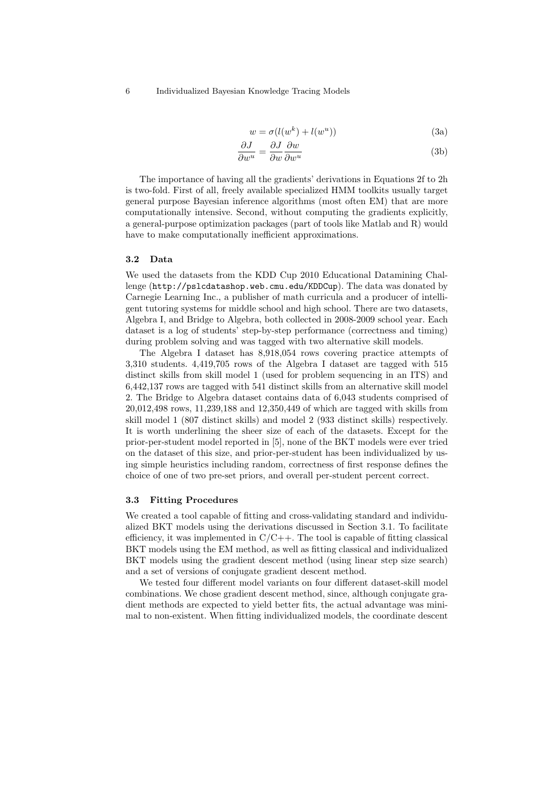6 Individualized Bayesian Knowledge Tracing Models

$$
w = \sigma(l(w^k) + l(w^u))
$$
\n(3a)

$$
\frac{\partial J}{\partial w^u} = \frac{\partial J}{\partial w} \frac{\partial w}{\partial w^u}
$$
 (3b)

The importance of having all the gradients' derivations in Equations 2f to 2h is two-fold. First of all, freely available specialized HMM toolkits usually target general purpose Bayesian inference algorithms (most often EM) that are more computationally intensive. Second, without computing the gradients explicitly, a general-purpose optimization packages (part of tools like Matlab and R) would have to make computationally inefficient approximations.

# 3.2 Data

We used the datasets from the KDD Cup 2010 Educational Datamining Challenge (http://pslcdatashop.web.cmu.edu/KDDCup). The data was donated by Carnegie Learning Inc., a publisher of math curricula and a producer of intelligent tutoring systems for middle school and high school. There are two datasets, Algebra I, and Bridge to Algebra, both collected in 2008-2009 school year. Each dataset is a log of students' step-by-step performance (correctness and timing) during problem solving and was tagged with two alternative skill models.

The Algebra I dataset has 8,918,054 rows covering practice attempts of 3,310 students. 4,419,705 rows of the Algebra I dataset are tagged with 515 distinct skills from skill model 1 (used for problem sequencing in an ITS) and 6,442,137 rows are tagged with 541 distinct skills from an alternative skill model 2. The Bridge to Algebra dataset contains data of 6,043 students comprised of 20,012,498 rows, 11,239,188 and 12,350,449 of which are tagged with skills from skill model 1 (807 distinct skills) and model 2 (933 distinct skills) respectively. It is worth underlining the sheer size of each of the datasets. Except for the prior-per-student model reported in [5], none of the BKT models were ever tried on the dataset of this size, and prior-per-student has been individualized by using simple heuristics including random, correctness of first response defines the choice of one of two pre-set priors, and overall per-student percent correct.

#### 3.3 Fitting Procedures

We created a tool capable of fitting and cross-validating standard and individualized BKT models using the derivations discussed in Section 3.1. To facilitate efficiency, it was implemented in  $C/C++$ . The tool is capable of fitting classical BKT models using the EM method, as well as fitting classical and individualized BKT models using the gradient descent method (using linear step size search) and a set of versions of conjugate gradient descent method.

We tested four different model variants on four different dataset-skill model combinations. We chose gradient descent method, since, although conjugate gradient methods are expected to yield better fits, the actual advantage was minimal to non-existent. When fitting individualized models, the coordinate descent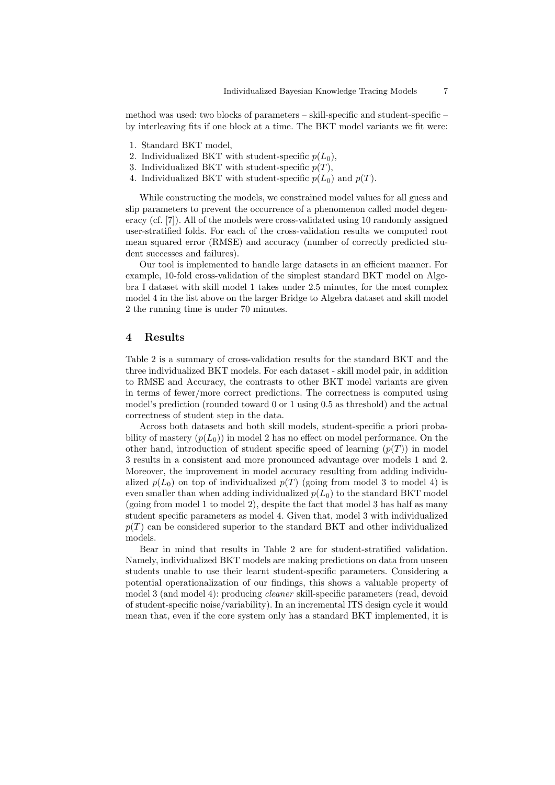method was used: two blocks of parameters – skill-specific and student-specific – by interleaving fits if one block at a time. The BKT model variants we fit were:

- 1. Standard BKT model,
- 2. Individualized BKT with student-specific  $p(L_0)$ ,
- 3. Individualized BKT with student-specific  $p(T)$ ,
- 4. Individualized BKT with student-specific  $p(L_0)$  and  $p(T)$ .

While constructing the models, we constrained model values for all guess and slip parameters to prevent the occurrence of a phenomenon called model degeneracy (cf. [7]). All of the models were cross-validated using 10 randomly assigned user-stratified folds. For each of the cross-validation results we computed root mean squared error (RMSE) and accuracy (number of correctly predicted student successes and failures).

Our tool is implemented to handle large datasets in an efficient manner. For example, 10-fold cross-validation of the simplest standard BKT model on Algebra I dataset with skill model 1 takes under 2.5 minutes, for the most complex model 4 in the list above on the larger Bridge to Algebra dataset and skill model 2 the running time is under 70 minutes.

# 4 Results

Table 2 is a summary of cross-validation results for the standard BKT and the three individualized BKT models. For each dataset - skill model pair, in addition to RMSE and Accuracy, the contrasts to other BKT model variants are given in terms of fewer/more correct predictions. The correctness is computed using model's prediction (rounded toward 0 or 1 using 0.5 as threshold) and the actual correctness of student step in the data.

Across both datasets and both skill models, student-specific a priori probability of mastery  $(p(L_0))$  in model 2 has no effect on model performance. On the other hand, introduction of student specific speed of learning  $(p(T))$  in model 3 results in a consistent and more pronounced advantage over models 1 and 2. Moreover, the improvement in model accuracy resulting from adding individualized  $p(L_0)$  on top of individualized  $p(T)$  (going from model 3 to model 4) is even smaller than when adding individualized  $p(L_0)$  to the standard BKT model (going from model 1 to model 2), despite the fact that model 3 has half as many student specific parameters as model 4. Given that, model 3 with individualized  $p(T)$  can be considered superior to the standard BKT and other individualized models.

Bear in mind that results in Table 2 are for student-stratified validation. Namely, individualized BKT models are making predictions on data from unseen students unable to use their learnt student-specific parameters. Considering a potential operationalization of our findings, this shows a valuable property of model 3 (and model 4): producing cleaner skill-specific parameters (read, devoid of student-specific noise/variability). In an incremental ITS design cycle it would mean that, even if the core system only has a standard BKT implemented, it is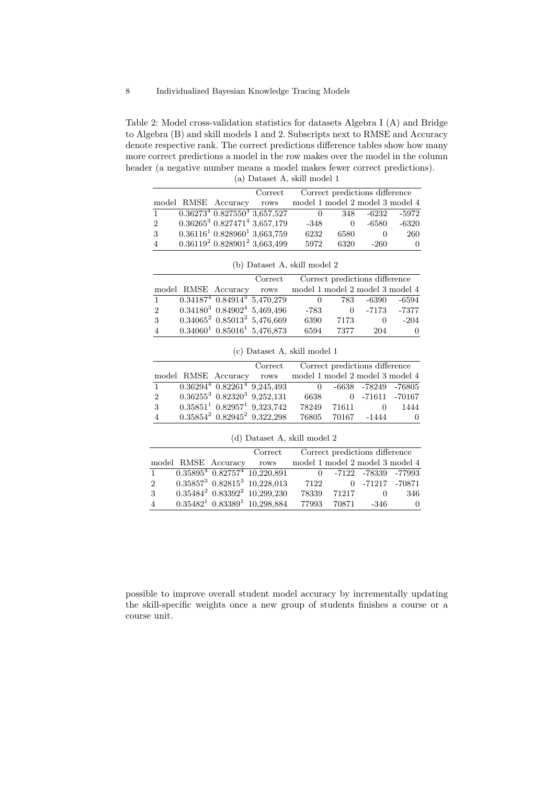Table 2: Model cross-validation statistics for datasets Algebra I (A) and Bridge to Algebra (B) and skill models 1 and 2. Subscripts next to RMSE and Accuracy denote respective rank. The correct predictions difference tables show how many more correct predictions a model in the row makes over the model in the column header (a negative number means a model makes fewer correct predictions). (a) Dataset A, skill model 1

|                |                                      | Correct |          |      | Correct predictions difference  |          |
|----------------|--------------------------------------|---------|----------|------|---------------------------------|----------|
|                | model RMSE Accuracy                  | rows    |          |      | model 1 model 2 model 3 model 4 |          |
|                | $0.362734$ $0.8275503$ 3,657,527     |         | $\theta$ | 348. | -6232                           | -5972    |
| $\overline{2}$ | $0.36265^3$ $0.827471^4$ $3,657,179$ |         | $-348$   |      | -6580                           | $-6320$  |
| 3              | $0.361161$ $0.8289601$ 3,663,759     |         | 6232     | 6580 |                                 | 260      |
|                | $0.361192$ $0.8289012$ $3,663,499$   |         | 5972     | 6320 | $-260$                          | $\Omega$ |
|                |                                      |         |          |      |                                 |          |

|                |                          | Correct                               |          |       | Correct predictions difference |                                 |
|----------------|--------------------------|---------------------------------------|----------|-------|--------------------------------|---------------------------------|
|                | model RMSE Accuracy rows |                                       |          |       |                                | model 1 model 2 model 3 model 4 |
| $\mathbf{1}$   |                          | $0.341874$ $0.849143$ 5,470,279       | $\theta$ | 783 — | -6390                          | -6594                           |
| $\overline{2}$ |                          | $0.34180^{3}$ $0.84902^{4}$ 5,469,496 | $-783$   | 0     | -7173                          | $-7377$                         |
| 3              |                          | $0.34065^2$ $0.85013^2$ 5,476,669     | 6390     | 7173  | $\left( \right)$               | $-204$                          |
| 4              |                          | $0.340601$ $0.850161$ 5,476,873       | 6594     | 7377  | 204                            | $\theta$                        |

(b) Dataset A, skill model 2

|  |  | (c) Dataset A, skill model 1 |  |  |  |  |
|--|--|------------------------------|--|--|--|--|
|--|--|------------------------------|--|--|--|--|

|                |                          | Correct                                 |                                  |       | Correct predictions difference |          |
|----------------|--------------------------|-----------------------------------------|----------------------------------|-------|--------------------------------|----------|
|                | model RMSE Accuracy rows |                                         | model 1 model 2 model 3 model 4  |       |                                |          |
|                |                          | $0.36294^{4}$ $0.82261^{4}$ $9,245,493$ | $\begin{array}{c} 0 \end{array}$ |       | -6638 -78249 -76805            |          |
| $\overline{2}$ |                          | $0.36255^3$ $0.82320^3$ $9,252,131$     | 6638                             |       | 0 -71611 -70167                |          |
| 3              |                          | $0.358511$ $0.829571$ $9.323.742$       | 78249                            | 71611 | $\bigcirc$                     | 1444     |
| $\overline{A}$ |                          | $0.35854^2$ $0.82945^2$ $9,322,298$     |                                  |       | 76805 70167 -1444              | $\theta$ |

|                |                     | Correct                              | Correct predictions difference  |       |                       |     |
|----------------|---------------------|--------------------------------------|---------------------------------|-------|-----------------------|-----|
|                | model RMSE Accuracy | rows                                 | model 1 model 2 model 3 model 4 |       |                       |     |
|                |                     | $0.358954$ $0.827574$ 10,220,891     |                                 |       | 0 -7122 -78339 -77993 |     |
| $\overline{2}$ |                     | $0.35857^3$ $0.82815^3$ $10,228,013$ | 7122                            |       | 0 -71217 -70871       |     |
| 3              |                     | $0.35484^2$ $0.83392^2$ $10,299,230$ | 78339                           | 71217 |                       | 346 |
|                |                     | $0.354821$ $0.833891$ $10,298,884$   | 77993                           | 70871 | -346                  |     |

(d) Dataset A, skill model 2

possible to improve overall student model accuracy by incrementally updating the skill-specific weights once a new group of students finishes a course or a course unit.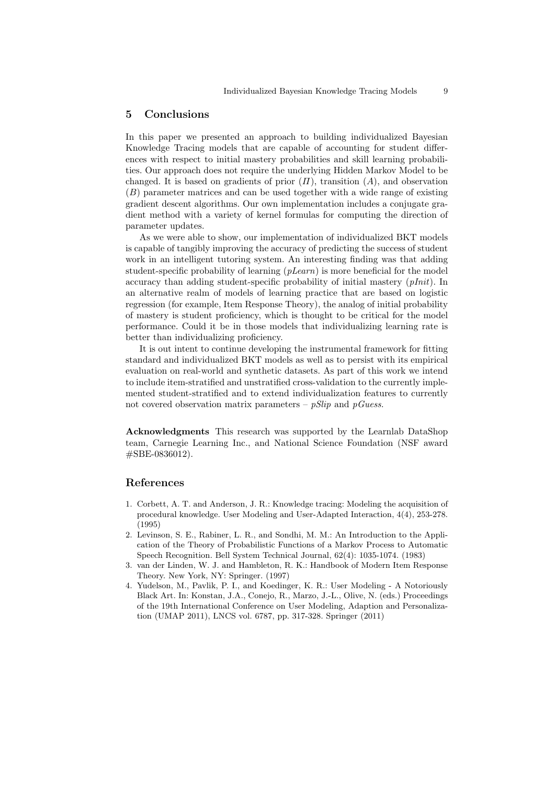# 5 Conclusions

In this paper we presented an approach to building individualized Bayesian Knowledge Tracing models that are capable of accounting for student differences with respect to initial mastery probabilities and skill learning probabilities. Our approach does not require the underlying Hidden Markov Model to be changed. It is based on gradients of prior  $(\Pi)$ , transition  $(A)$ , and observation (B) parameter matrices and can be used together with a wide range of existing gradient descent algorithms. Our own implementation includes a conjugate gradient method with a variety of kernel formulas for computing the direction of parameter updates.

As we were able to show, our implementation of individualized BKT models is capable of tangibly improving the accuracy of predicting the success of student work in an intelligent tutoring system. An interesting finding was that adding student-specific probability of learning  $(pLearn)$  is more beneficial for the model accuracy than adding student-specific probability of initial mastery  $(pInit)$ . In an alternative realm of models of learning practice that are based on logistic regression (for example, Item Response Theory), the analog of initial probability of mastery is student proficiency, which is thought to be critical for the model performance. Could it be in those models that individualizing learning rate is better than individualizing proficiency.

It is out intent to continue developing the instrumental framework for fitting standard and individualized BKT models as well as to persist with its empirical evaluation on real-world and synthetic datasets. As part of this work we intend to include item-stratified and unstratified cross-validation to the currently implemented student-stratified and to extend individualization features to currently not covered observation matrix parameters –  $pSlip$  and  $pGues$ .

Acknowledgments This research was supported by the Learnlab DataShop team, Carnegie Learning Inc., and National Science Foundation (NSF award #SBE-0836012).

# References

- 1. Corbett, A. T. and Anderson, J. R.: Knowledge tracing: Modeling the acquisition of procedural knowledge. User Modeling and User-Adapted Interaction, 4(4), 253-278. (1995)
- 2. Levinson, S. E., Rabiner, L. R., and Sondhi, M. M.: An Introduction to the Application of the Theory of Probabilistic Functions of a Markov Process to Automatic Speech Recognition. Bell System Technical Journal, 62(4): 1035-1074. (1983)
- 3. van der Linden, W. J. and Hambleton, R. K.: Handbook of Modern Item Response Theory. New York, NY: Springer. (1997)
- 4. Yudelson, M., Pavlik, P. I., and Koedinger, K. R.: User Modeling A Notoriously Black Art. In: Konstan, J.A., Conejo, R., Marzo, J.-L., Olive, N. (eds.) Proceedings of the 19th International Conference on User Modeling, Adaption and Personalization (UMAP 2011), LNCS vol. 6787, pp. 317-328. Springer (2011)